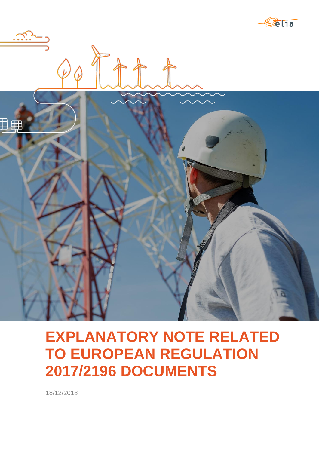



# **EXPLANATORY NOTE RELATED TO EUROPEAN REGULATION 2017/2196 DOCUMENTS**

18/12/2018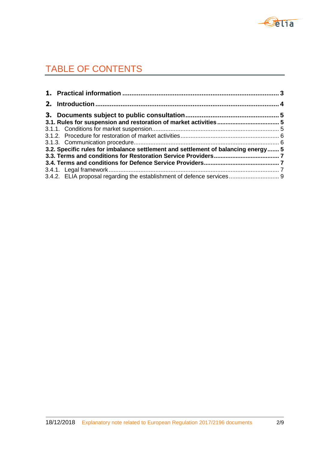

# TABLE OF CONTENTS

| 3.2. Specific rules for imbalance settlement and settlement of balancing energy 5 |  |
|-----------------------------------------------------------------------------------|--|
|                                                                                   |  |
|                                                                                   |  |
|                                                                                   |  |
| 3.4.2. ELIA proposal regarding the establishment of defence services 9            |  |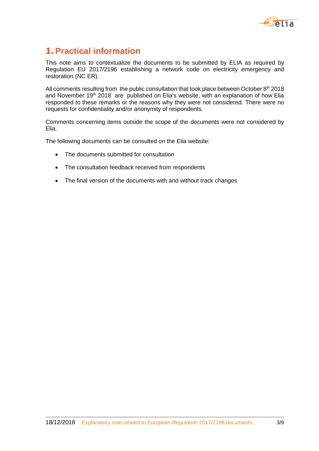

# **1. Practical information**

This note aims to contextualize the documents to be submitted by ELIA as required by Regulation EU 2017/2196 establishing a network code on electricity emergency and restoration (NC ER).

All comments resulting from the public consultation that took place between October  $8<sup>th</sup>$  2018 and November 19<sup>th</sup> 2018 are published on Elia's website, with an explanation of how Elia responded to these remarks or the reasons why they were not considered. There were no requests for confidentiality and/or anonymity of respondents.

Comments concerning items outside the scope of the documents were not considered by Elia.

The following documents can be consulted on the Elia website:

- The documents submitted for consultation
- The consultation feedback received from respondents
- The final version of the documents with and without track changes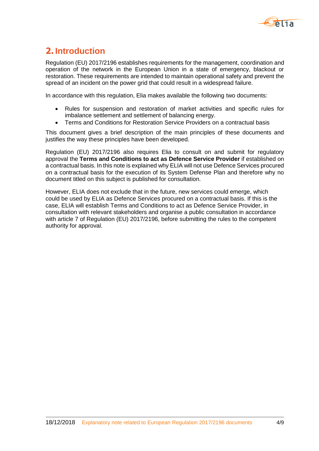

# **2. Introduction**

Regulation (EU) 2017/2196 establishes requirements for the management, coordination and operation of the network in the European Union in a state of emergency, blackout or restoration. These requirements are intended to maintain operational safety and prevent the spread of an incident on the power grid that could result in a widespread failure.

In accordance with this regulation, Elia makes available the following two documents:

- Rules for suspension and restoration of market activities and specific rules for imbalance settlement and settlement of balancing energy.
- Terms and Conditions for Restoration Service Providers on a contractual basis

This document gives a brief description of the main principles of these documents and justifies the way these principles have been developed.

Regulation (EU) 2017/2196 also requires Elia to consult on and submit for regulatory approval the **Terms and Conditions to act as Defence Service Provider** if established on a contractual basis. In this note is explained why ELIA will not use Defence Services procured on a contractual basis for the execution of its System Defense Plan and therefore why no document titled on this subject is published for consultation.

However, ELIA does not exclude that in the future, new services could emerge, which could be used by ELIA as Defence Services procured on a contractual basis. If this is the case, ELIA will establish Terms and Conditions to act as Defence Service Provider, in consultation with relevant stakeholders and organise a public consultation in accordance with article 7 of Regulation (EU) 2017/2196, before submitting the rules to the competent authority for approval.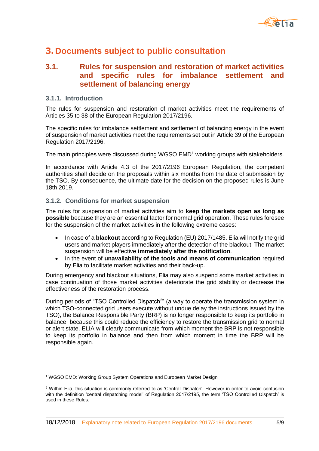

## **3. Documents subject to public consultation**

### **3.1. Rules for suspension and restoration of market activities and specific rules for imbalance settlement and settlement of balancing energy**

#### **3.1.1. Introduction**

-

The rules for suspension and restoration of market activities meet the requirements of Articles 35 to 38 of the European Regulation 2017/2196.

The specific rules for imbalance settlement and settlement of balancing energy in the event of suspension of market activities meet the requirements set out in Article 39 of the European Regulation 2017/2196.

The main principles were discussed during WGSO EMD<sup>1</sup> working groups with stakeholders.

In accordance with Article 4.3 of the 2017/2196 European Regulation, the competent authorities shall decide on the proposals within six months from the date of submission by the TSO. By consequence, the ultimate date for the decision on the proposed rules is June 18th 2019.

#### **3.1.2. Conditions for market suspension**

The rules for suspension of market activities aim to **keep the markets open as long as possible** because they are an essential factor for normal grid operation. These rules foresee for the suspension of the market activities in the following extreme cases:

- In case of a **blackout** according to Regulation (EU) 2017/1485. Elia will notify the grid users and market players immediately after the detection of the blackout. The market suspension will be effective **immediately after the notification**.
- In the event of **unavailability of the tools and means of communication** required by Elia to facilitate market activities and their back-up.

During emergency and blackout situations, Elia may also suspend some market activities in case continuation of those market activities deteriorate the grid stability or decrease the effectiveness of the restoration process.

During periods of "TSO Controlled Dispatch<sup>2</sup>" (a way to operate the transmission system in which TSO-connected grid users execute without undue delay the instructions issued by the TSO), the Balance Responsible Party (BRP) is no longer responsible to keep its portfolio in balance, because this could reduce the efficiency to restore the transmission grid to normal or alert state. ELIA will clearly communicate from which moment the BRP is not responsible to keep its portfolio in balance and then from which moment in time the BRP will be responsible again.

<sup>&</sup>lt;sup>1</sup> WGSO EMD: Working Group System Operations and European Market Design

<sup>2</sup> Within Elia, this situation is commonly referred to as 'Central Dispatch'. However in order to avoid confusion with the definition 'central dispatching model' of Regulation 2017/2195, the term 'TSO Controlled Dispatch' is used in these Rules.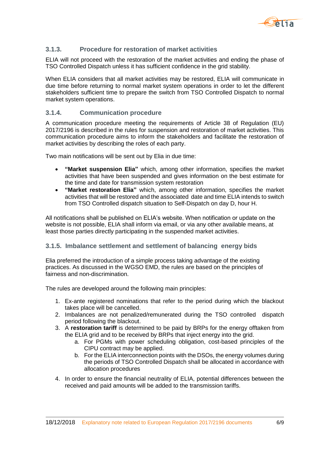

#### **3.1.3. Procedure for restoration of market activities**

ELIA will not proceed with the restoration of the market activities and ending the phase of TSO Controlled Dispatch unless it has sufficient confidence in the grid stability.

When ELIA considers that all market activities may be restored, ELIA will communicate in due time before returning to normal market system operations in order to let the different stakeholders sufficient time to prepare the switch from TSO Controlled Dispatch to normal market system operations.

#### **3.1.4. Communication procedure**

A communication procedure meeting the requirements of Article 38 of Regulation (EU) 2017/2196 is described in the rules for suspension and restoration of market activities. This communication procedure aims to inform the stakeholders and facilitate the restoration of market activities by describing the roles of each party.

Two main notifications will be sent out by Elia in due time:

- **"Market suspension Elia"** which, among other information, specifies the market activities that have been suspended and gives information on the best estimate for the time and date for transmission system restoration
- **"Market restoration Elia"** which, among other information, specifies the market activities that will be restored and the associated date and time ELIA intends to switch from TSO Controlled dispatch situation to Self-Dispatch on day D, hour H.

All notifications shall be published on ELIA's website. When notification or update on the website is not possible, ELIA shall inform via email, or via any other available means, at least those parties directly participating in the suspended market activities.

#### **3.1.5. Imbalance settlement and settlement of balancing energy bids**

Elia preferred the introduction of a simple process taking advantage of the existing practices. As discussed in the WGSO EMD, the rules are based on the principles of fairness and non-discrimination.

The rules are developed around the following main principles:

- 1. Ex-ante registered nominations that refer to the period during which the blackout takes place will be cancelled.
- 2. Imbalances are not penalized/remunerated during the TSO controlled dispatch period following the blackout.
- 3. A **restoration tariff** is determined to be paid by BRPs for the energy offtaken from the ELIA grid and to be received by BRPs that inject energy into the grid.
	- a. For PGMs with power scheduling obligation, cost-based principles of the CIPU contract may be applied.
	- b. For the ELIA interconnection points with the DSOs, the energy volumes during the periods of TSO Controlled Dispatch shall be allocated in accordance with allocation procedures
- 4. In order to ensure the financial neutrality of ELIA, potential differences between the received and paid amounts will be added to the transmission tariffs.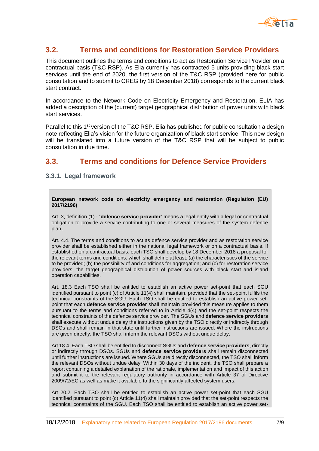

### **3.2. Terms and conditions for Restoration Service Providers**

This document outlines the terms and conditions to act as Restoration Service Provider on a contractual basis (T&C RSP). As Elia currently has contracted 5 units providing black start services until the end of 2020, the first version of the T&C RSP (provided here for public consultation and to submit to CREG by 18 December 2018) corresponds to the current black start contract.

In accordance to the Network Code on Electricity Emergency and Restoration, ELIA has added a description of the (current) target geographical distribution of power units with black start services.

Parallel to this  $1<sup>st</sup>$  version of the T&C RSP, Elia has published for public consultation a design note reflecting Elia's vision for the future organization of black start service. This new design will be translated into a future version of the T&C RSP that will be subject to public consultation in due time.

### **3.3. Terms and conditions for Defence Service Providers**

#### **3.3.1. Legal framework**

**European network code on electricity emergency and restoration (Regulation (EU) 2017/2196)**

Art. 3, definition (1) - **'defence service provider'** means a legal entity with a legal or contractual obligation to provide a service contributing to one or several measures of the system defence plan;

Art. 4.4. The terms and conditions to act as defence service provider and as restoration service provider shall be established either in the national legal framework or on a contractual basis. If established on a contractual basis, each TSO shall develop by 18 December 2018 a proposal for the relevant terms and conditions, which shall define at least: (a) the characteristics of the service to be provided; (b) the possibility of and conditions for aggregation; and (c) for restoration service providers, the target geographical distribution of power sources with black start and island operation capabilities.

Art. 18.3 Each TSO shall be entitled to establish an active power set-point that each SGU identified pursuant to point (c) of Article 11(4) shall maintain, provided that the set-point fulfils the technical constraints of the SGU. Each TSO shall be entitled to establish an active power setpoint that each **defence service provider** shall maintain provided this measure applies to them pursuant to the terms and conditions referred to in Article 4(4) and the set-point respects the technical constraints of the defence service provider. The SGUs and **defence service providers** shall execute without undue delay the instructions given by the TSO directly or indirectly through DSOs and shall remain in that state until further instructions are issued. Where the instructions are given directly, the TSO shall inform the relevant DSOs without undue delay.

Art 18.4. Each TSO shall be entitled to disconnect SGUs and **defence service providers**, directly or indirectly through DSOs. SGUs and **defence service providers** shall remain disconnected until further instructions are issued. Where SGUs are directly disconnected, the TSO shall inform the relevant DSOs without undue delay. Within 30 days of the incident, the TSO shall prepare a report containing a detailed explanation of the rationale, implementation and impact of this action and submit it to the relevant regulatory authority in accordance with Article 37 of Directive 2009/72/EC as well as make it available to the significantly affected system users.

Art 20.2. Each TSO shall be entitled to establish an active power set-point that each SGU identified pursuant to point (c) Article 11(4) shall maintain provided that the set-point respects the technical constraints of the SGU. Each TSO shall be entitled to establish an active power set-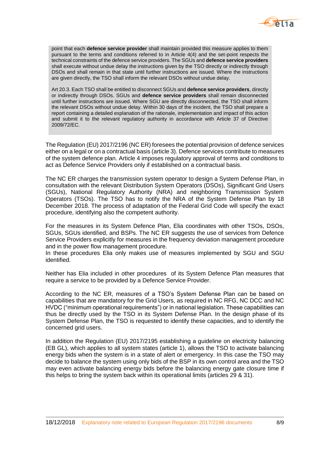

point that each **defence service provider** shall maintain provided this measure applies to them pursuant to the terms and conditions referred to in Article 4(4) and the set-point respects the technical constraints of the defence service providers. The SGUs and **defence service providers** shall execute without undue delay the instructions given by the TSO directly or indirectly through DSOs and shall remain in that state until further instructions are issued. Where the instructions are given directly, the TSO shall inform the relevant DSOs without undue delay.

Art 20.3. Each TSO shall be entitled to disconnect SGUs and **defence service providers**, directly or indirectly through DSOs. SGUs and **defence service providers** shall remain disconnected until further instructions are issued. Where SGU are directly disconnected, the TSO shall inform the relevant DSOs without undue delay. Within 30 days of the incident, the TSO shall prepare a report containing a detailed explanation of the rationale, implementation and impact of this action and submit it to the relevant regulatory authority in accordance with Article 37 of Directive 2009/72/EC.

The Regulation (EU) 2017/2196 (NC ER) foresees the potential provision of defence services either on a legal or on a contractual basis (article 3). Defence services contribute to measures of the system defence plan. Article 4 imposes regulatory approval of terms and conditions to act as Defence Service Providers only if established on a contractual basis.

The NC ER charges the transmission system operator to design a System Defense Plan, in consultation with the relevant Distribution System Operators (DSOs), Significant Grid Users (SGUs), National Regulatory Authority (NRA) and neighboring Transmission System Operators (TSOs). The TSO has to notify the NRA of the System Defense Plan by 18 December 2018. The process of adaptation of the Federal Grid Code will specify the exact procedure, identifying also the competent authority.

For the measures in its System Defence Plan, Elia coordinates with other TSOs, DSOs, SGUs, SGUs identified, and BSPs. The NC ER suggests the use of services from Defence Service Providers explicitly for measures in the frequency deviation management procedure and in the power flow management procedure.

In these procedures Elia only makes use of measures implemented by SGU and SGU identified.

Neither has Elia included in other procedures of its System Defence Plan measures that require a service to be provided by a Defence Service Provider.

According to the NC ER, measures of a TSO's System Defense Plan can be based on capabilities that are mandatory for the Grid Users, as required in NC RFG, NC DCC and NC HVDC ("minimum operational requirements") or in national legislation. These capabilities can thus be directly used by the TSO in its System Defense Plan. In the design phase of its System Defense Plan, the TSO is requested to identify these capacities, and to identify the concerned grid users.

In addition the Regulation (EU) 2017/2195 establishing a guideline on electricity balancing (EB GL), which applies to all system states (article 1), allows the TSO to activate balancing energy bids when the system is in a state of alert or emergency. In this case the TSO may decide to balance the system using only bids of the BSP in its own control area and the TSO may even activate balancing energy bids before the balancing energy gate closure time if this helps to bring the system back within its operational limits (articles 29 & 31).